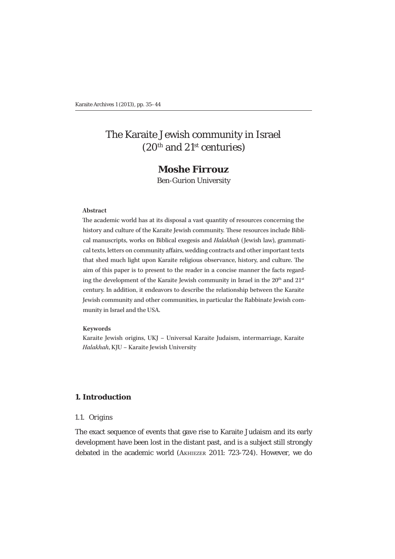# The Karaite Jewish community in Israel (20th and 21st centuries)

# **Moshe Firrouz**

Ben-Gurion University

#### **Abstract**

The academic world has at its disposal a vast quantity of resources concerning the history and culture of the Karaite Jewish community. These resources include Biblical manuscripts, works on Biblical exegesis and *Halakhah* (Jewish law), grammatical texts, letters on community affairs, wedding contracts and other important texts that shed much light upon Karaite religious observance, history, and culture. The aim of this paper is to present to the reader in a concise manner the facts regarding the development of the Karaite Jewish community in Israel in the  $20<sup>th</sup>$  and  $21<sup>st</sup>$ century. In addition, it endeavors to describe the relationship between the Karaite Jewish community and other communities, in particular the Rabbinate Jewish community in Israel and the USA.

#### **Keywords**

Karaite Jewish origins, UKJ – Universal Karaite Judaism, intermarriage, Karaite *Halakhah*, KJU – Karaite Jewish University

# **1. Introduction**

### *1.1. Origins*

The exact sequence of events that gave rise to Karaite Judaism and its early development have been lost in the distant past, and is a subject still strongly debated in the academic world (AKHIEZER 2011: 723-724). However, we do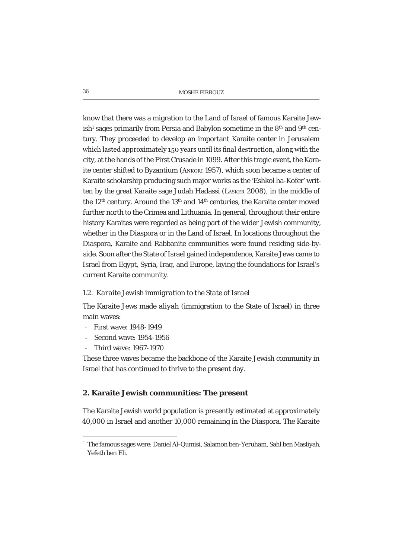know that there was a migration to the Land of Israel of famous Karaite Jewish<sup>1</sup> sages primarily from Persia and Babylon sometime in the 8<sup>th</sup> and 9<sup>th</sup> century. They proceeded to develop an important Karaite center in Jerusalem which lasted approximately 150 years until its final destruction, along with the city, at the hands of the First Crusade in 1099. After this tragic event, the Karaite center shifted to Byzantium (ANKORI 1957), which soon became a center of Karaite scholarship producing such major works as the 'Eshkol ha-Kofer' written by the great Karaite sage Judah Hadassi (LASKER 2008), in the middle of the  $12<sup>th</sup>$  century. Around the  $13<sup>th</sup>$  and  $14<sup>th</sup>$  centuries, the Karaite center moved further north to the Crimea and Lithuania. In general, throughout their entire history Karaites were regarded as being part of the wider Jewish community, whether in the Diaspora or in the Land of Israel. In locations throughout the Diaspora, Karaite and Rabbanite communities were found residing side-byside. Soon after the State of Israel gained independence, Karaite Jews came to Israel from Egypt, Syria, Iraq, and Europe, laying the foundations for Israel's current Karaite community.

### *1.2. Karaite Jewish immigration to the State of Israel*

The Karaite Jews made *aliyah* (immigration to the State of Israel) in three main waves:

- First wave: 1948-1949
- Second wave: 1954-1956
- Third wave: 1967-1970

These three waves became the backbone of the Karaite Jewish community in Israel that has continued to thrive to the present day.

### **2. Karaite Jewish communities: The present**

The Karaite Jewish world population is presently estimated at approximately 40,000 in Israel and another 10,000 remaining in the Diaspora. The Karaite

<sup>&</sup>lt;sup>1</sup> The famous sages were: Daniel Al-Qumisi, Salamon ben-Yeruham, Sahl ben Masliyah, Yefeth ben Eli.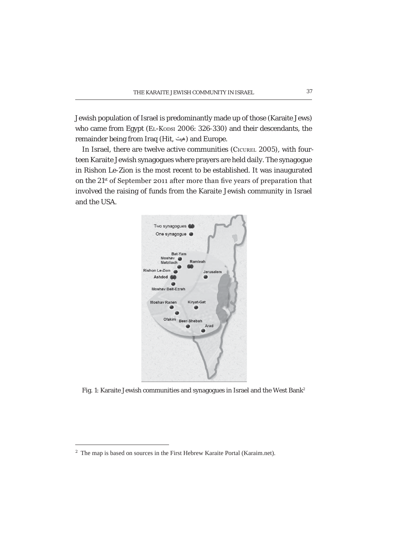Jewish population of Israel is predominantly made up of those (Karaite Jews) who came from Egypt (EL-Kopsi 2006: 326-330) and their descendants, the remainder being from Iraq (Hit, هيت) and Europe.

In Israel, there are twelve active communities (CICUREL 2005), with fourteen Karaite Jewish synagogues where prayers are held daily. The synagogue in Rishon Le-Zion is the most recent to be established. It was inaugurated on the  $21^{st}$  of September 2011 after more than five years of preparation that involved the raising of funds from the Karaite Jewish community in Israel and the USA.



Fig. 1: Karaite Jewish communities and synagogues in Israel and the West Bank<sup>2</sup>

<sup>2</sup> The map is based on sources in the First Hebrew Karaite Portal (Karaim.net).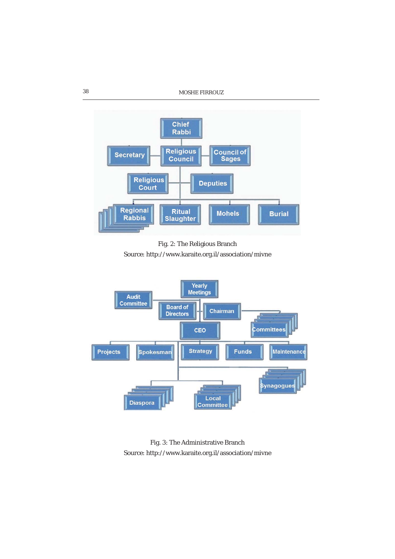

Fig. 2: The Religious Branch Source: http://www.karaite.org.il/association/mivne



Fig. 3: The Administrative Branch Source: http://www.karaite.org.il/association/mivne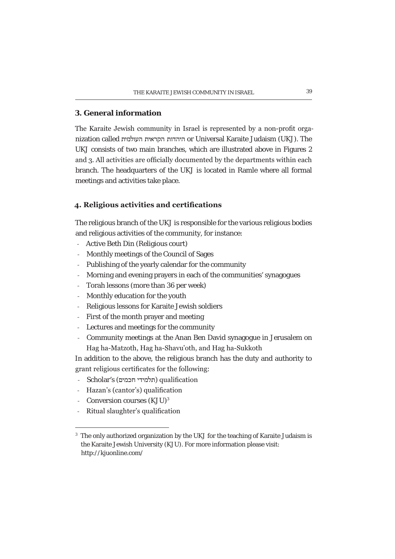# **3. General information**

The Karaite Jewish community in Israel is represented by a non-profit organization called היהדות הקראית העולמית or Universal Karaite Judaism (UKJ). The UKJ consists of two main branches, which are illustrated above in Figures 2 and 3. All activities are officially documented by the departments within each branch. The headquarters of the UKJ is located in Ramle where all formal meetings and activities take place.

# 4. Religious activities and certifications

The religious branch of the UKJ is responsible for the various religious bodies and religious activities of the community, for instance:

- Active Beth Din (Religious court)
- Monthly meetings of the Council of Sages
- Publishing of the yearly calendar for the community
- Morning and evening prayers in each of the communities' synagogues
- Torah lessons (more than 36 per week)
- Monthly education for the youth
- Religious lessons for Karaite Jewish soldiers
- First of the month prayer and meeting
- Lectures and meetings for the community
- Community meetings at the Anan Ben David synagogue in Jerusalem on Hag ha-Matzoth, Hag ha-Shavu'oth, and Hag ha-Sukkoth

In addition to the above, the religious branch has the duty and authority to grant religious certificates for the following:

- Scholar's (תלמידי חבמים) qualification
- Hazan's (cantor's) qualification
- Conversion courses (KJU)<sup>3</sup>
- Ritual slaughter's qualification

<sup>&</sup>lt;sup>3</sup> The only authorized organization by the UKJ for the teaching of Karaite Judaism is the Karaite Jewish University (KJU). For more information please visit: http://kjuonline.com/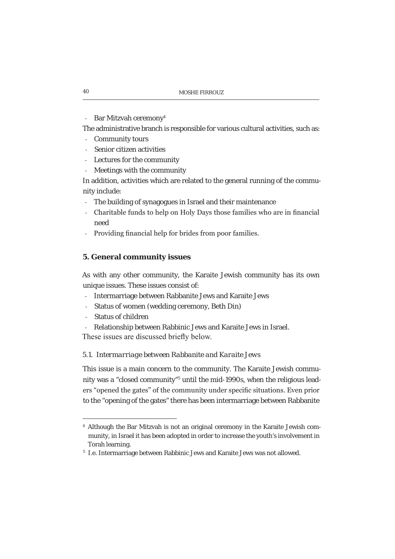- Bar Mitzvah ceremony<sup>4</sup>

The administrative branch is responsible for various cultural activities, such as:

- Community tours
- Senior citizen activities
- Lectures for the community
- Meetings with the community

In addition, activities which are related to the general running of the community include:

- The building of synagogues in Israel and their maintenance
- Charitable funds to help on Holy Days those families who are in financial need
- Providing financial help for brides from poor families.

### **5. General community issues**

As with any other community, the Karaite Jewish community has its own unique issues. These issues consist of:

- Intermarriage between Rabbanite Jews and Karaite Jews
- Status of women (wedding ceremony, Beth Din)
- Status of children
- Relationship between Rabbinic Jews and Karaite Jews in Israel.

These issues are discussed briefly below.

### *5.1. Intermarriage between Rabbanite and Karaite Jews*

This issue is a main concern to the community. The Karaite Jewish community was a "closed community"<sup>5</sup> until the mid-1990s, when the religious leaders "opened the gates" of the community under specific situations. Even prior to the "opening of the gates" there has been intermarriage between Rabbanite

<sup>4</sup> Although the Bar Mitzvah is not an original ceremony in the Karaite Jewish community, in Israel it has been adopted in order to increase the youth's involvement in Torah learning.

<sup>5</sup> I.e. Intermarriage between Rabbinic Jews and Karaite Jews was not allowed.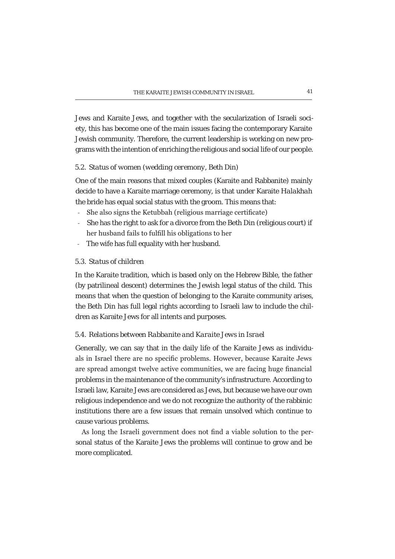Jews and Karaite Jews, and together with the secularization of Israeli society, this has become one of the main issues facing the contemporary Karaite Jewish community. Therefore, the current leadership is working on new programs with the intention of enriching the religious and social life of our people.

### *5.2. Status of women (wedding ceremony, Beth Din)*

One of the main reasons that mixed couples (Karaite and Rabbanite) mainly decide to have a Karaite marriage ceremony, is that under Karaite *Halakhah*  the bride has equal social status with the groom. This means that:

- She also signs the Ketubbah (religious marriage certificate)
- She has the right to ask for a divorce from the Beth Din (religious court) if her husband fails to fulfill his obligations to her
- The wife has full equality with her husband.

# *5.3. Status of children*

In the Karaite tradition, which is based only on the Hebrew Bible, the father (by patrilineal descent) determines the Jewish legal status of the child. This means that when the question of belonging to the Karaite community arises, the Beth Din has full legal rights according to Israeli law to include the children as Karaite Jews for all intents and purposes.

### *5.4. Relations between Rabbanite and Karaite Jews in Israel*

Generally, we can say that in the daily life of the Karaite Jews as individuals in Israel there are no specific problems. However, because Karaite Jews are spread amongst twelve active communities, we are facing huge financial problems in the maintenance of the community's infrastructure. According to Israeli law, Karaite Jews are considered as Jews, but because we have our own religious independence and we do not recognize the authority of the rabbinic institutions there are a few issues that remain unsolved which continue to cause various problems.

As long the Israeli government does not find a viable solution to the personal status of the Karaite Jews the problems will continue to grow and be more complicated.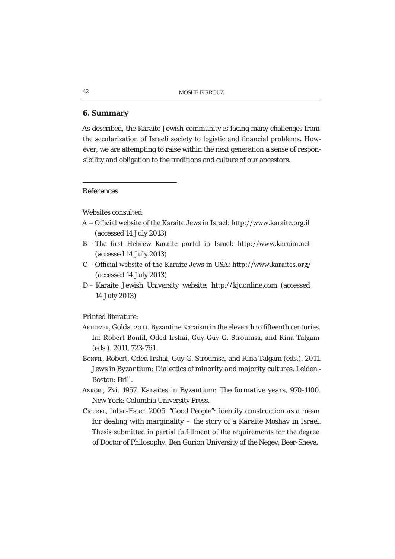### **6. Summary**

As described, the Karaite Jewish community is facing many challenges from the secularization of Israeli society to logistic and financial problems. However, we are attempting to raise within the next generation a sense of responsibility and obligation to the traditions and culture of our ancestors.

### *References*

Websites consulted:

- A Official website of the Karaite Jews in Israel: http://www.karaite.org.il (accessed 14 July 2013)
- B The first Hebrew Karaite portal in Israel: http://www.karaim.net (accessed 14 July 2013)
- $C$  Official website of the Karaite Jews in USA: http://www.karaites.org/ (accessed 14 July 2013)
- D Karaite Jewish University website: http://kjuonline.com (accessed 14 July 2013)

Printed literature:

- AKHIEZER, Golda. 2011. Byzantine Karaism in the eleventh to fifteenth centuries. In: Robert Bonfil, Oded Irshai, Guy Guy G. Stroumsa, and Rina Talgam (eds.). 2011, 723-761.
- BONFIL, Robert, Oded Irshai, Guy G. Stroumsa, and Rina Talgam (eds.). 2011. *Jews in Byzantium: Dialectics of minority and majority cultures*. Leiden - Boston: Brill.
- ANKORI, Zvi. 1957. *Karaites in Byzantium: The formative years, 970-1100*. New York: Columbia University Press.
- CICUREL, Inbal-Ester. 2005. *"Good People": identity construction as a mean for dealing with marginality – the story of a Karaite Moshav in Israel.* Thesis submitted in partial fulfillment of the requirements for the degree of Doctor of Philosophy: Ben Gurion University of the Negev, Beer-Sheva.